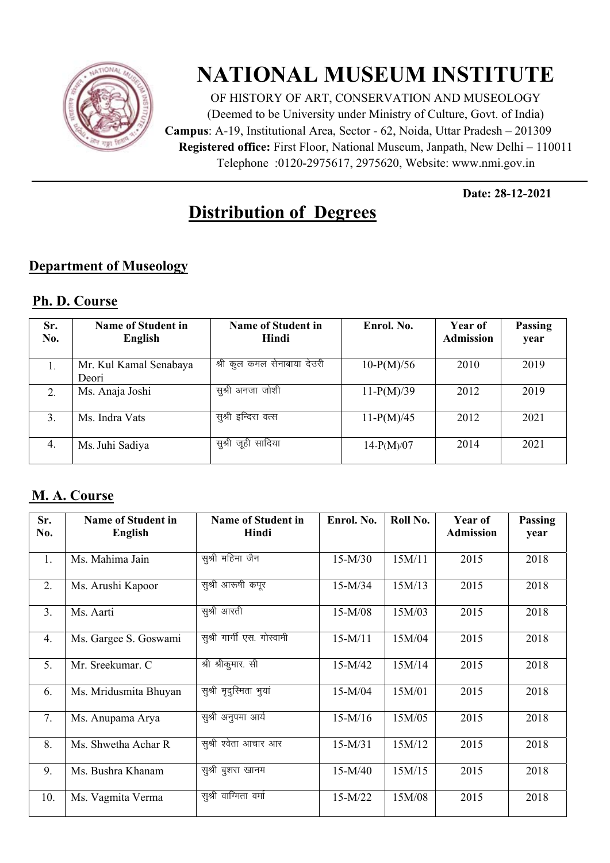

# **NATIONAL MUSEUM INSTITUTE**

OF HISTORY OF ART, CONSERVATION AND MUSEOLOGY (Deemed to be University under Ministry of Culture, Govt. of India) **Campus**: A-19, Institutional Area, Sector - 62, Noida, Uttar Pradesh – 201309 **Registered office:** First Floor, National Museum, Janpath, New Delhi – 110011 Telephone : 0120-2975617, 2975620, Website: www.nmi.gov.in

**Date: 28-12-2021**

## **Distribution of Degrees**

#### **Department of Museology**

#### **Ph. D. Course**

| Sr.<br>No. | <b>Name of Student in</b><br>English | <b>Name of Student in</b><br>Hindi | Enrol. No.   | Year of<br><b>Admission</b> | Passing<br>year |
|------------|--------------------------------------|------------------------------------|--------------|-----------------------------|-----------------|
| 1.         | Mr. Kul Kamal Senabaya<br>Deori      | श्री कूल कमल सेनाबाया देउरी        | $10-P(M)/56$ | 2010                        | 2019            |
| 2.         | Ms. Anaja Joshi                      | सुश्री अनजा जोशी                   | $11-P(M)/39$ | 2012                        | 2019            |
| 3.         | Ms. Indra Vats                       | सुश्री इन्दिरा वत्स                | $11-P(M)/45$ | 2012                        | 2021            |
| 4.         | Ms. Juhi Sadiya                      | सुश्री जूही सादिया                 | $14-P(M)/07$ | 2014                        | 2021            |

### **M. A. Course**

| Sr.<br>No.     | <b>Name of Student in</b><br>English | <b>Name of Student in</b><br>Hindi | Enrol. No. | Roll No. | Year of<br><b>Admission</b> | Passing<br>year |
|----------------|--------------------------------------|------------------------------------|------------|----------|-----------------------------|-----------------|
| 1.             | Ms. Mahima Jain                      | सुश्री महिमा जैन                   | $15-M/30$  | 15M/11   | 2015                        | 2018            |
| 2.             | Ms. Arushi Kapoor                    | सुश्री आरूषी कपूर                  | $15-M/34$  | 15M/13   | 2015                        | 2018            |
| 3 <sub>1</sub> | Ms. Aarti                            | सुश्री आरती                        | $15-M/08$  | 15M/03   | 2015                        | 2018            |
| 4.             | Ms. Gargee S. Goswami                | सूश्री गार्गी एस. गोस्वामी         | $15-M/11$  | 15M/04   | 2015                        | 2018            |
| 5.             | Mr. Sreekumar. C                     | श्री श्रीकुमार. सी                 | $15-M/42$  | 15M/14   | 2015                        | 2018            |
| 6.             | Ms. Mridusmita Bhuyan                | सुश्री मृदुस्मिता भुयां            | $15-M/04$  | 15M/01   | 2015                        | 2018            |
| 7.             | Ms. Anupama Arya                     | सुश्री अनुपमा आर्य                 | $15-M/16$  | 15M/05   | 2015                        | 2018            |
| 8.             | Ms. Shwetha Achar R                  | सुश्री श्वेता आचार आर              | $15-M/31$  | 15M/12   | 2015                        | 2018            |
| 9.             | Ms. Bushra Khanam                    | सुश्री बुशरा खानम                  | $15-M/40$  | 15M/15   | 2015                        | 2018            |
| 10.            | Ms. Vagmita Verma                    | सुश्री वाग्मिता वर्मा              | $15-M/22$  | 15M/08   | 2015                        | 2018            |